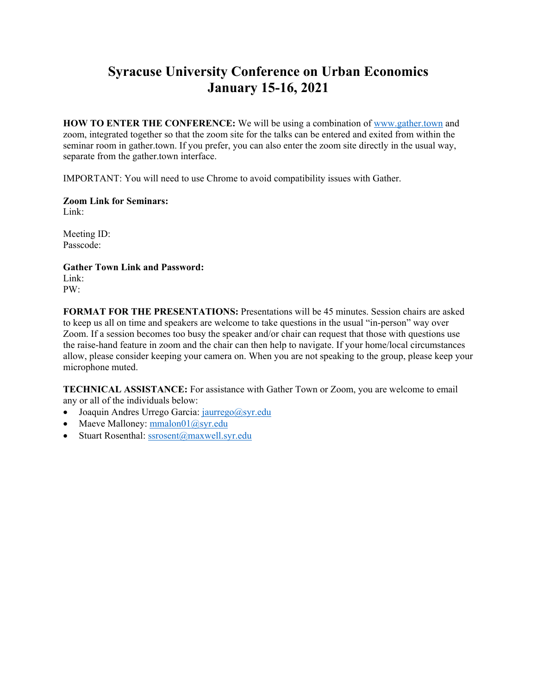## **Syracuse University Conference on Urban Economics January 15-16, 2021**

**HOW TO ENTER THE CONFERENCE:** We will be using a combination of www.gather.town and zoom, integrated together so that the zoom site for the talks can be entered and exited from within the seminar room in gather.town. If you prefer, you can also enter the zoom site directly in the usual way, separate from the gather.town interface.

IMPORTANT: You will need to use Chrome to avoid compatibility issues with Gather.

**Zoom Link for Seminars:**  Link:

Meeting ID: Passcode:

**Gather Town Link and Password:**  Link: PW:

**FORMAT FOR THE PRESENTATIONS:** Presentations will be 45 minutes. Session chairs are asked to keep us all on time and speakers are welcome to take questions in the usual "in-person" way over Zoom. If a session becomes too busy the speaker and/or chair can request that those with questions use the raise-hand feature in zoom and the chair can then help to navigate. If your home/local circumstances allow, please consider keeping your camera on. When you are not speaking to the group, please keep your microphone muted.

**TECHNICAL ASSISTANCE:** For assistance with Gather Town or Zoom, you are welcome to email any or all of the individuals below:

- $\bullet$  Joaquin Andres Urrego Garcia: jaurrego@syr.edu
- Maeve Malloney:  $\frac{\text{mmalon01}(a) \text{syr.edu}}{a}$
- Stuart Rosenthal: ssrosent@maxwell.syr.edu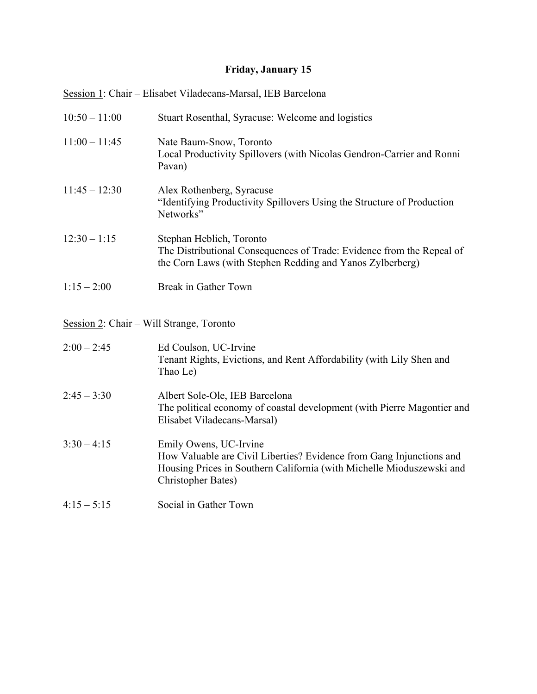## **Friday, January 15**

|                 | Session 1: Chair – Elisabet Viladecans-Marsal, IEB Barcelona                                                                                                                                          |
|-----------------|-------------------------------------------------------------------------------------------------------------------------------------------------------------------------------------------------------|
| $10:50 - 11:00$ | Stuart Rosenthal, Syracuse: Welcome and logistics                                                                                                                                                     |
| $11:00 - 11:45$ | Nate Baum-Snow, Toronto<br>Local Productivity Spillovers (with Nicolas Gendron-Carrier and Ronni<br>Pavan)                                                                                            |
| $11:45 - 12:30$ | Alex Rothenberg, Syracuse<br>"Identifying Productivity Spillovers Using the Structure of Production<br>Networks"                                                                                      |
| $12:30 - 1:15$  | Stephan Heblich, Toronto<br>The Distributional Consequences of Trade: Evidence from the Repeal of<br>the Corn Laws (with Stephen Redding and Yanos Zylberberg)                                        |
| $1:15 - 2:00$   | Break in Gather Town                                                                                                                                                                                  |
|                 | Session 2: Chair – Will Strange, Toronto                                                                                                                                                              |
| $2:00 - 2:45$   | Ed Coulson, UC-Irvine<br>Tenant Rights, Evictions, and Rent Affordability (with Lily Shen and<br>Thao Le)                                                                                             |
| $2:45 - 3:30$   | Albert Sole-Ole, IEB Barcelona<br>The political economy of coastal development (with Pierre Magontier and<br>Elisabet Viladecans-Marsal)                                                              |
| $3:30 - 4:15$   | Emily Owens, UC-Irvine<br>How Valuable are Civil Liberties? Evidence from Gang Injunctions and<br>Housing Prices in Southern California (with Michelle Mioduszewski and<br><b>Christopher Bates</b> ) |
| $4:15 - 5:15$   | Social in Gather Town                                                                                                                                                                                 |